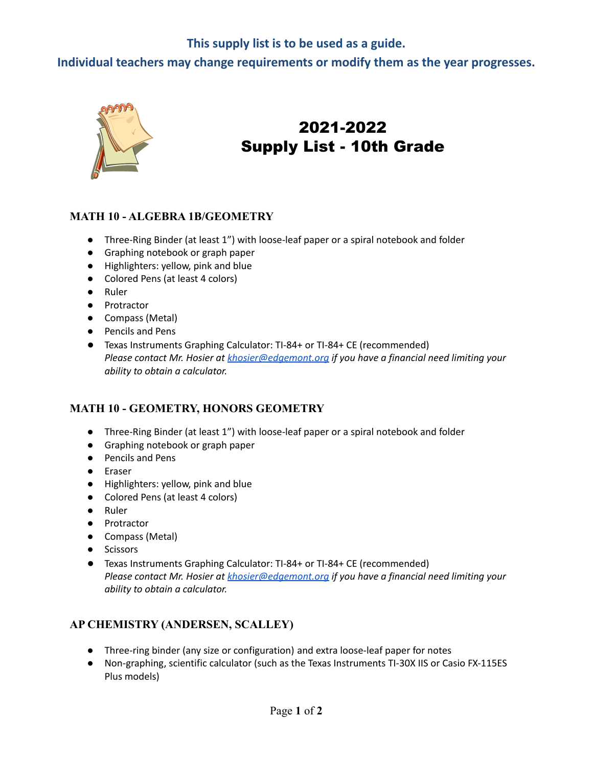# **This supply list is to be used as a guide.**

**Individual teachers may change requirements or modify them as the year progresses.**



# 2021-2022 Supply List - 10th Grade

#### **MATH 10 - ALGEBRA 1B/GEOMETRY**

- Three-Ring Binder (at least 1") with loose-leaf paper or a spiral notebook and folder
- Graphing notebook or graph paper
- Highlighters: yellow, pink and blue
- Colored Pens (at least 4 colors)
- Ruler
- Protractor
- Compass (Metal)
- Pencils and Pens
- Texas Instruments Graphing Calculator: TI-84+ or TI-84+ CE (recommended) *Please contact Mr. Hosier at [khosier@edgemont.org](mailto:khosier@edgemont.org) if you have a financial need limiting your ability to obtain a calculator.*

### **MATH 10 - GEOMETRY, HONORS GEOMETRY**

- Three-Ring Binder (at least 1") with loose-leaf paper or a spiral notebook and folder
- Graphing notebook or graph paper
- Pencils and Pens
- Eraser
- Highlighters: yellow, pink and blue
- Colored Pens (at least 4 colors)
- Ruler
- Protractor
- Compass (Metal)
- Scissors
- Texas Instruments Graphing Calculator: TI-84+ or TI-84+ CE (recommended) *Please contact Mr. Hosier at [khosier@edgemont.org](mailto:khosier@edgemont.org) if you have a financial need limiting your ability to obtain a calculator.*

### **AP CHEMISTRY (ANDERSEN, SCALLEY)**

- Three-ring binder (any size or configuration) and extra loose-leaf paper for notes
- Non-graphing, scientific calculator (such as the Texas Instruments TI-30X IIS or Casio FX-115ES Plus models)